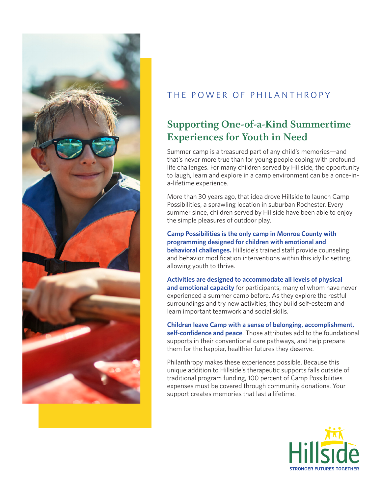

## THE POWER OF PHILANTHROPY

# **Supporting One-of-a-Kind Summertime Experiences for Youth in Need**

Summer camp is a treasured part of any child's memories—and that's never more true than for young people coping with profound life challenges. For many children served by Hillside, the opportunity to laugh, learn and explore in a camp environment can be a once-ina-lifetime experience.

More than 30 years ago, that idea drove Hillside to launch Camp Possibilities, a sprawling location in suburban Rochester. Every summer since, children served by Hillside have been able to enjoy the simple pleasures of outdoor play.

**Camp Possibilities is the only camp in Monroe County with programming designed for children with emotional and behavioral challenges.** Hillside's trained staff provide counseling and behavior modification interventions within this idyllic setting, allowing youth to thrive.

**Activities are designed to accommodate all levels of physical and emotional capacity** for participants, many of whom have never experienced a summer camp before. As they explore the restful surroundings and try new activities, they build self-esteem and learn important teamwork and social skills.

**Children leave Camp with a sense of belonging, accomplishment, self-confidence and peace**. Those attributes add to the foundational supports in their conventional care pathways, and help prepare them for the happier, healthier futures they deserve.

Philanthropy makes these experiences possible. Because this unique addition to Hillside's therapeutic supports falls outside of traditional program funding, 100 percent of Camp Possibilities expenses must be covered through community donations. Your support creates memories that last a lifetime.